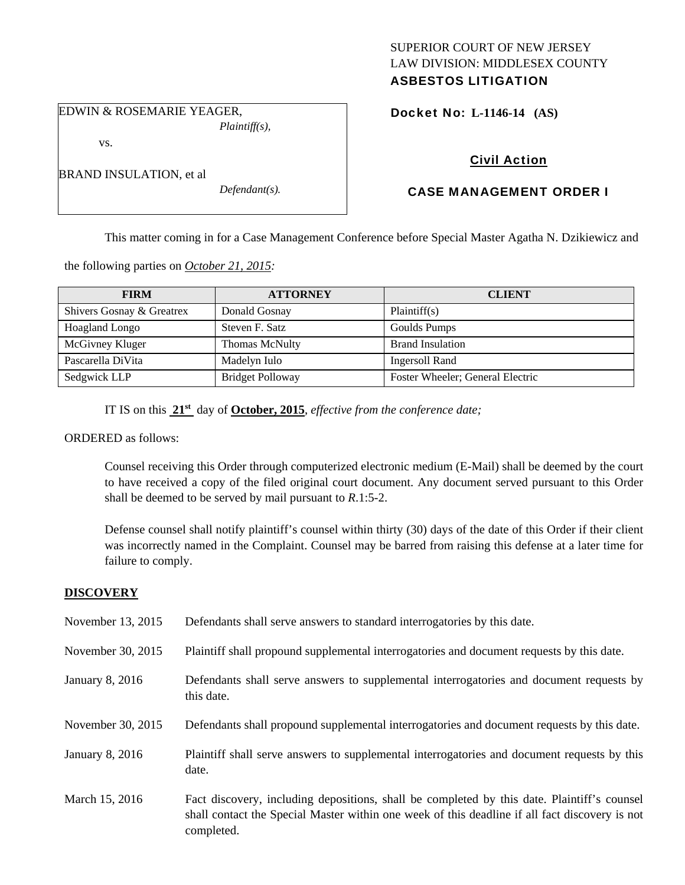# SUPERIOR COURT OF NEW JERSEY LAW DIVISION: MIDDLESEX COUNTY ASBESTOS LITIGATION

EDWIN & ROSEMARIE YEAGER, *Plaintiff(s),* 

vs.

| BRAND INSULATION, et al |  |
|-------------------------|--|

*Defendant(s).* 

Docket No: **L-1146-14 (AS)** 

# Civil Action

# CASE MANAGEMENT ORDER I

This matter coming in for a Case Management Conference before Special Master Agatha N. Dzikiewicz and

the following parties on *October 21, 2015:* 

| <b>FIRM</b>               | <b>ATTORNEY</b>         | <b>CLIENT</b>                    |
|---------------------------|-------------------------|----------------------------------|
| Shivers Gosnay & Greatrex | Donald Gosnay           | Plaintiff(s)                     |
| Hoagland Longo            | Steven F. Satz          | Goulds Pumps                     |
| McGivney Kluger           | <b>Thomas McNulty</b>   | <b>Brand Insulation</b>          |
| Pascarella DiVita         | Madelyn Iulo            | Ingersoll Rand                   |
| Sedgwick LLP              | <b>Bridget Polloway</b> | Foster Wheeler; General Electric |

IT IS on this **21st** day of **October, 2015**, *effective from the conference date;*

ORDERED as follows:

Counsel receiving this Order through computerized electronic medium (E-Mail) shall be deemed by the court to have received a copy of the filed original court document. Any document served pursuant to this Order shall be deemed to be served by mail pursuant to *R*.1:5-2.

Defense counsel shall notify plaintiff's counsel within thirty (30) days of the date of this Order if their client was incorrectly named in the Complaint. Counsel may be barred from raising this defense at a later time for failure to comply.

# **DISCOVERY**

| November 13, 2015 | Defendants shall serve answers to standard interrogatories by this date.                                                                                                                                    |
|-------------------|-------------------------------------------------------------------------------------------------------------------------------------------------------------------------------------------------------------|
| November 30, 2015 | Plaintiff shall propound supplemental interrogatories and document requests by this date.                                                                                                                   |
| January 8, 2016   | Defendants shall serve answers to supplemental interrogatories and document requests by<br>this date.                                                                                                       |
| November 30, 2015 | Defendants shall propound supplemental interrogatories and document requests by this date.                                                                                                                  |
| January 8, 2016   | Plaintiff shall serve answers to supplemental interrogatories and document requests by this<br>date.                                                                                                        |
| March 15, 2016    | Fact discovery, including depositions, shall be completed by this date. Plaintiff's counsel<br>shall contact the Special Master within one week of this deadline if all fact discovery is not<br>completed. |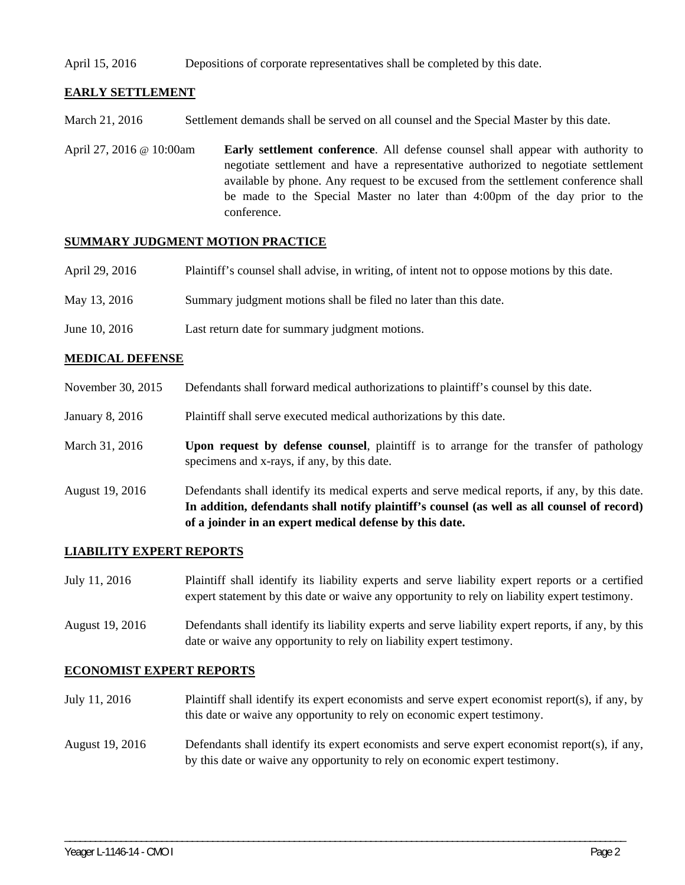### April 15, 2016 Depositions of corporate representatives shall be completed by this date.

## **EARLY SETTLEMENT**

March 21, 2016 Settlement demands shall be served on all counsel and the Special Master by this date.

April 27, 2016 @ 10:00am **Early settlement conference**. All defense counsel shall appear with authority to negotiate settlement and have a representative authorized to negotiate settlement available by phone. Any request to be excused from the settlement conference shall be made to the Special Master no later than 4:00pm of the day prior to the conference.

## **SUMMARY JUDGMENT MOTION PRACTICE**

| April 29, 2016 | Plaintiff's counsel shall advise, in writing, of intent not to oppose motions by this date. |
|----------------|---------------------------------------------------------------------------------------------|
| May 13, 2016   | Summary judgment motions shall be filed no later than this date.                            |
| June 10, 2016  | Last return date for summary judgment motions.                                              |

# **MEDICAL DEFENSE**

- November 30, 2015 Defendants shall forward medical authorizations to plaintiff's counsel by this date.
- January 8, 2016 Plaintiff shall serve executed medical authorizations by this date.
- March 31, 2016 **Upon request by defense counsel**, plaintiff is to arrange for the transfer of pathology specimens and x-rays, if any, by this date.
- August 19, 2016 Defendants shall identify its medical experts and serve medical reports, if any, by this date. **In addition, defendants shall notify plaintiff's counsel (as well as all counsel of record) of a joinder in an expert medical defense by this date.**

### **LIABILITY EXPERT REPORTS**

- July 11, 2016 Plaintiff shall identify its liability experts and serve liability expert reports or a certified expert statement by this date or waive any opportunity to rely on liability expert testimony.
- August 19, 2016 Defendants shall identify its liability experts and serve liability expert reports, if any, by this date or waive any opportunity to rely on liability expert testimony.

### **ECONOMIST EXPERT REPORTS**

- July 11, 2016 Plaintiff shall identify its expert economists and serve expert economist report(s), if any, by this date or waive any opportunity to rely on economic expert testimony.
- August 19, 2016 Defendants shall identify its expert economists and serve expert economist report(s), if any, by this date or waive any opportunity to rely on economic expert testimony.

\_\_\_\_\_\_\_\_\_\_\_\_\_\_\_\_\_\_\_\_\_\_\_\_\_\_\_\_\_\_\_\_\_\_\_\_\_\_\_\_\_\_\_\_\_\_\_\_\_\_\_\_\_\_\_\_\_\_\_\_\_\_\_\_\_\_\_\_\_\_\_\_\_\_\_\_\_\_\_\_\_\_\_\_\_\_\_\_\_\_\_\_\_\_\_\_\_\_\_\_\_\_\_\_\_\_\_\_\_\_